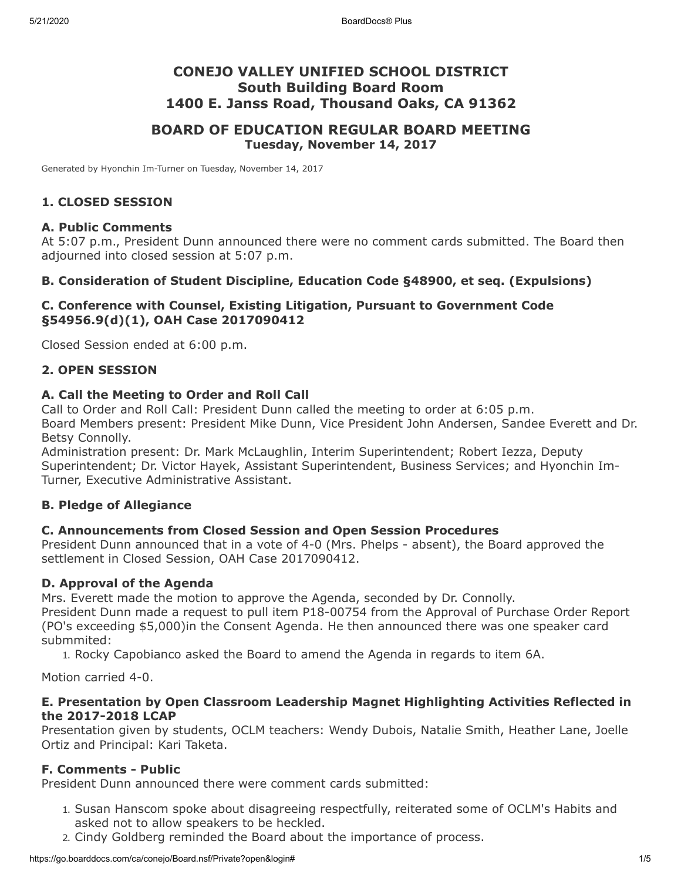# **CONEJO VALLEY UNIFIED SCHOOL DISTRICT South Building Board Room 1400 E. Janss Road, Thousand Oaks, CA 91362**

# **BOARD OF EDUCATION REGULAR BOARD MEETING Tuesday, November 14, 2017**

Generated by Hyonchin Im-Turner on Tuesday, November 14, 2017

## **1. CLOSED SESSION**

### **A. Public Comments**

At 5:07 p.m., President Dunn announced there were no comment cards submitted. The Board then adjourned into closed session at 5:07 p.m.

## **B. Consideration of Student Discipline, Education Code §48900, et seq. (Expulsions)**

## **C. Conference with Counsel, Existing Litigation, Pursuant to Government Code §54956.9(d)(1), OAH Case 2017090412**

Closed Session ended at 6:00 p.m.

### **2. OPEN SESSION**

## **A. Call the Meeting to Order and Roll Call**

Call to Order and Roll Call: President Dunn called the meeting to order at 6:05 p.m. Board Members present: President Mike Dunn, Vice President John Andersen, Sandee Everett and Dr. Betsy Connolly.

Administration present: Dr. Mark McLaughlin, Interim Superintendent; Robert Iezza, Deputy Superintendent; Dr. Victor Hayek, Assistant Superintendent, Business Services; and Hyonchin Im-Turner, Executive Administrative Assistant.

### **B. Pledge of Allegiance**

### **C. Announcements from Closed Session and Open Session Procedures**

President Dunn announced that in a vote of 4-0 (Mrs. Phelps - absent), the Board approved the settlement in Closed Session, OAH Case 2017090412.

### **D. Approval of the Agenda**

Mrs. Everett made the motion to approve the Agenda, seconded by Dr. Connolly.

President Dunn made a request to pull item P18-00754 from the Approval of Purchase Order Report (PO's exceeding \$5,000)in the Consent Agenda. He then announced there was one speaker card submmited:

1. Rocky Capobianco asked the Board to amend the Agenda in regards to item 6A.

Motion carried 4-0.

### **E. Presentation by Open Classroom Leadership Magnet Highlighting Activities Reflected in the 2017-2018 LCAP**

Presentation given by students, OCLM teachers: Wendy Dubois, Natalie Smith, Heather Lane, Joelle Ortiz and Principal: Kari Taketa.

### **F. Comments - Public**

President Dunn announced there were comment cards submitted:

- 1. Susan Hanscom spoke about disagreeing respectfully, reiterated some of OCLM's Habits and asked not to allow speakers to be heckled.
- 2. Cindy Goldberg reminded the Board about the importance of process.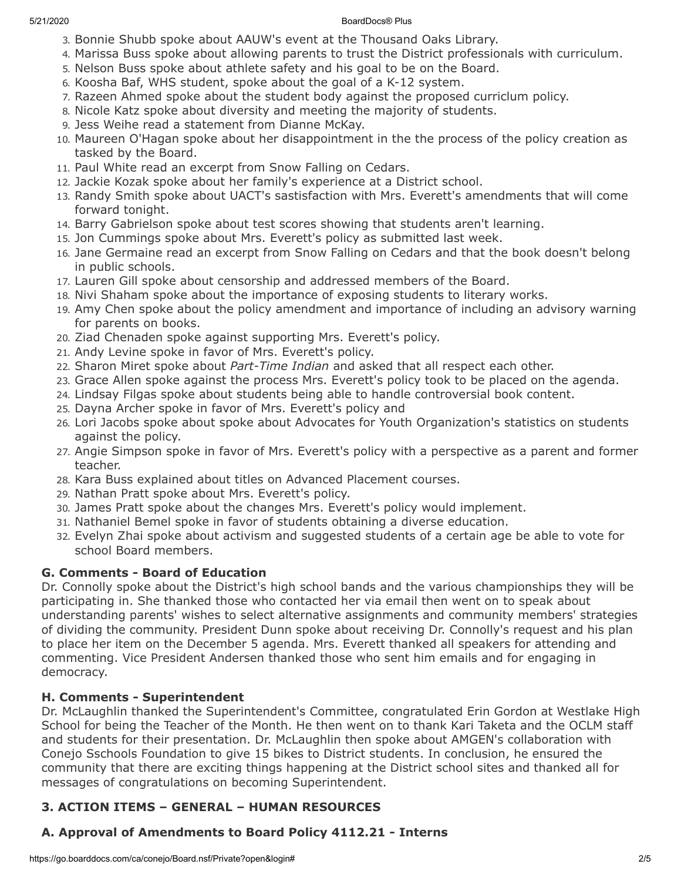- 3. Bonnie Shubb spoke about AAUW's event at the Thousand Oaks Library.
- 4. Marissa Buss spoke about allowing parents to trust the District professionals with curriculum.
- 5. Nelson Buss spoke about athlete safety and his goal to be on the Board.
- 6. Koosha Baf, WHS student, spoke about the goal of a K-12 system.
- 7. Razeen Ahmed spoke about the student body against the proposed curriclum policy.
- 8. Nicole Katz spoke about diversity and meeting the majority of students.
- 9. Jess Weihe read a statement from Dianne McKay.
- 10. Maureen O'Hagan spoke about her disappointment in the the process of the policy creation as tasked by the Board.
- 11. Paul White read an excerpt from Snow Falling on Cedars.
- 12. Jackie Kozak spoke about her family's experience at a District school.
- 13. Randy Smith spoke about UACT's sastisfaction with Mrs. Everett's amendments that will come forward tonight.
- 14. Barry Gabrielson spoke about test scores showing that students aren't learning.
- 15. Jon Cummings spoke about Mrs. Everett's policy as submitted last week.
- 16. Jane Germaine read an excerpt from Snow Falling on Cedars and that the book doesn't belong in public schools.
- 17. Lauren Gill spoke about censorship and addressed members of the Board.
- 18. Nivi Shaham spoke about the importance of exposing students to literary works.
- 19. Amy Chen spoke about the policy amendment and importance of including an advisory warning for parents on books.
- 20. Ziad Chenaden spoke against supporting Mrs. Everett's policy.
- 21. Andy Levine spoke in favor of Mrs. Everett's policy.
- 22. Sharon Miret spoke about *Part-Time Indian* and asked that all respect each other.
- 23. Grace Allen spoke against the process Mrs. Everett's policy took to be placed on the agenda.
- 24. Lindsay Filgas spoke about students being able to handle controversial book content.
- 25. Dayna Archer spoke in favor of Mrs. Everett's policy and
- 26. Lori Jacobs spoke about spoke about Advocates for Youth Organization's statistics on students against the policy.
- 27. Angie Simpson spoke in favor of Mrs. Everett's policy with a perspective as a parent and former teacher.
- 28. Kara Buss explained about titles on Advanced Placement courses.
- 29. Nathan Pratt spoke about Mrs. Everett's policy.
- 30. James Pratt spoke about the changes Mrs. Everett's policy would implement.
- 31. Nathaniel Bemel spoke in favor of students obtaining a diverse education.
- 32. Evelyn Zhai spoke about activism and suggested students of a certain age be able to vote for school Board members.

# **G. Comments - Board of Education**

Dr. Connolly spoke about the District's high school bands and the various championships they will be participating in. She thanked those who contacted her via email then went on to speak about understanding parents' wishes to select alternative assignments and community members' strategies of dividing the community. President Dunn spoke about receiving Dr. Connolly's request and his plan to place her item on the December 5 agenda. Mrs. Everett thanked all speakers for attending and commenting. Vice President Andersen thanked those who sent him emails and for engaging in democracy.

# **H. Comments - Superintendent**

Dr. McLaughlin thanked the Superintendent's Committee, congratulated Erin Gordon at Westlake High School for being the Teacher of the Month. He then went on to thank Kari Taketa and the OCLM staff and students for their presentation. Dr. McLaughlin then spoke about AMGEN's collaboration with Conejo Sschools Foundation to give 15 bikes to District students. In conclusion, he ensured the community that there are exciting things happening at the District school sites and thanked all for messages of congratulations on becoming Superintendent.

# **3. ACTION ITEMS – GENERAL – HUMAN RESOURCES**

# **A. Approval of Amendments to Board Policy 4112.21 - Interns**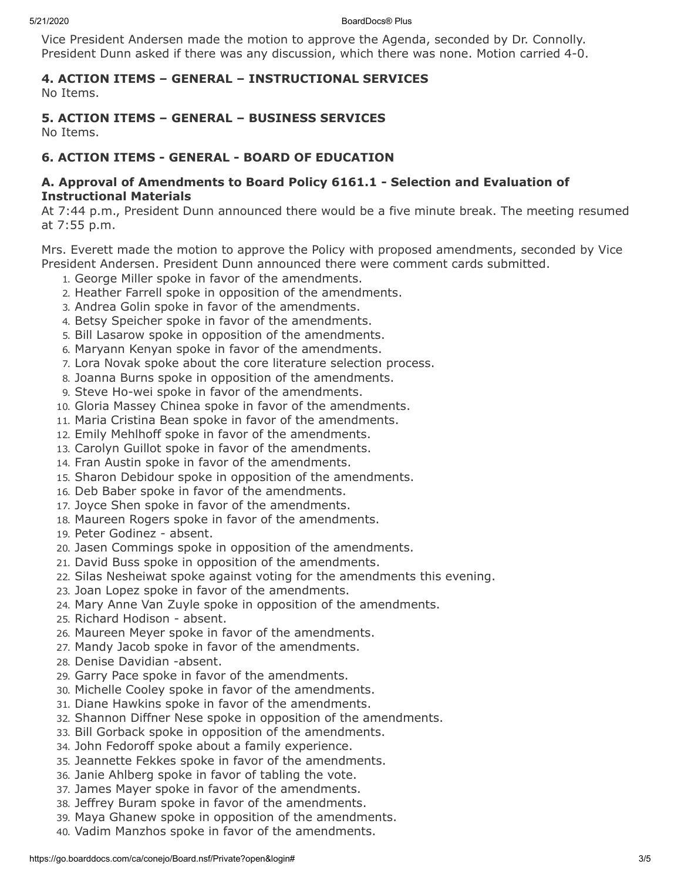5/21/2020 BoardDocs® Plus

Vice President Andersen made the motion to approve the Agenda, seconded by Dr. Connolly. President Dunn asked if there was any discussion, which there was none. Motion carried 4-0.

# **4. ACTION ITEMS – GENERAL – INSTRUCTIONAL SERVICES**

No Items.

# **5. ACTION ITEMS – GENERAL – BUSINESS SERVICES**

No Items.

# **6. ACTION ITEMS - GENERAL - BOARD OF EDUCATION**

# **A. Approval of Amendments to Board Policy 6161.1 - Selection and Evaluation of Instructional Materials**

At 7:44 p.m., President Dunn announced there would be a five minute break. The meeting resumed at 7:55 p.m.

Mrs. Everett made the motion to approve the Policy with proposed amendments, seconded by Vice President Andersen. President Dunn announced there were comment cards submitted.

- 1. George Miller spoke in favor of the amendments.
- 2. Heather Farrell spoke in opposition of the amendments.
- 3. Andrea Golin spoke in favor of the amendments.
- 4. Betsy Speicher spoke in favor of the amendments.
- 5. Bill Lasarow spoke in opposition of the amendments.
- 6. Maryann Kenyan spoke in favor of the amendments.
- 7. Lora Novak spoke about the core literature selection process.
- 8. Joanna Burns spoke in opposition of the amendments.
- 9. Steve Ho-wei spoke in favor of the amendments.
- 10. Gloria Massey Chinea spoke in favor of the amendments.
- 11. Maria Cristina Bean spoke in favor of the amendments.
- 12. Emily Mehlhoff spoke in favor of the amendments.
- 13. Carolyn Guillot spoke in favor of the amendments.
- 14. Fran Austin spoke in favor of the amendments.
- 15. Sharon Debidour spoke in opposition of the amendments.
- 16. Deb Baber spoke in favor of the amendments.
- 17. Joyce Shen spoke in favor of the amendments.
- 18. Maureen Rogers spoke in favor of the amendments.
- 19. Peter Godinez absent.
- 20. Jasen Commings spoke in opposition of the amendments.
- 21. David Buss spoke in opposition of the amendments.
- 22. Silas Nesheiwat spoke against voting for the amendments this evening.
- 23. Joan Lopez spoke in favor of the amendments.
- 24. Mary Anne Van Zuyle spoke in opposition of the amendments.
- 25. Richard Hodison absent.
- 26. Maureen Meyer spoke in favor of the amendments.
- 27. Mandy Jacob spoke in favor of the amendments.
- 28. Denise Davidian -absent.
- 29. Garry Pace spoke in favor of the amendments.
- 30. Michelle Cooley spoke in favor of the amendments.
- 31. Diane Hawkins spoke in favor of the amendments.
- 32. Shannon Diffner Nese spoke in opposition of the amendments.
- 33. Bill Gorback spoke in opposition of the amendments.
- 34. John Fedoroff spoke about a family experience.
- 35. Jeannette Fekkes spoke in favor of the amendments.
- 36. Janie Ahlberg spoke in favor of tabling the vote.
- 37. James Mayer spoke in favor of the amendments.
- 38. Jeffrey Buram spoke in favor of the amendments.
- 39. Maya Ghanew spoke in opposition of the amendments.
- 40. Vadim Manzhos spoke in favor of the amendments.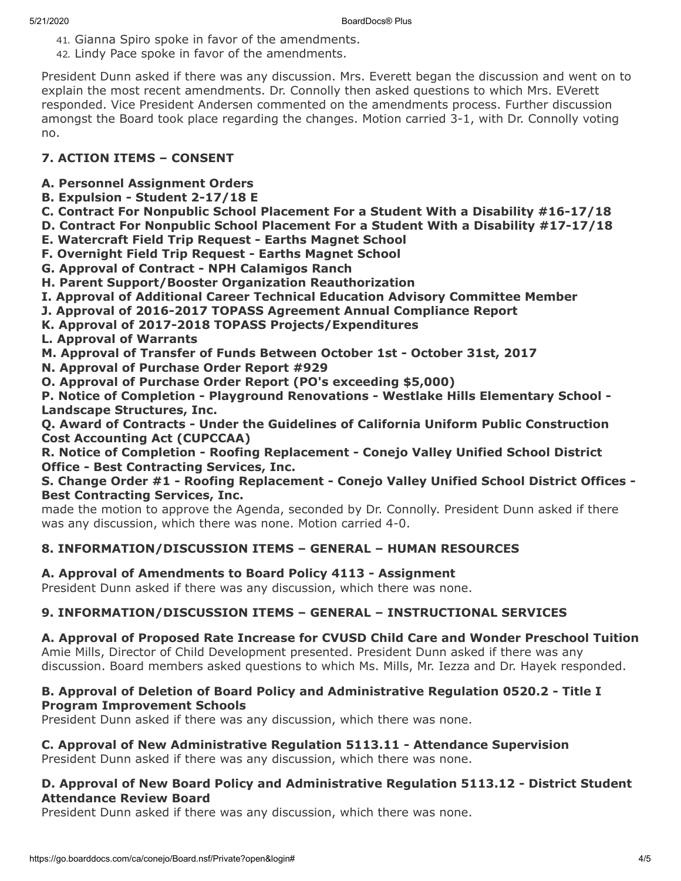- 41. Gianna Spiro spoke in favor of the amendments.
- 42. Lindy Pace spoke in favor of the amendments.

President Dunn asked if there was any discussion. Mrs. Everett began the discussion and went on to explain the most recent amendments. Dr. Connolly then asked questions to which Mrs. EVerett responded. Vice President Andersen commented on the amendments process. Further discussion amongst the Board took place regarding the changes. Motion carried 3-1, with Dr. Connolly voting no.

# **7. ACTION ITEMS – CONSENT**

- **A. Personnel Assignment Orders**
- **B. Expulsion Student 2-17/18 E**
- **C. Contract For Nonpublic School Placement For a Student With a Disability #16-17/18**
- **D. Contract For Nonpublic School Placement For a Student With a Disability #17-17/18**
- **E. Watercraft Field Trip Request Earths Magnet School**
- **F. Overnight Field Trip Request Earths Magnet School**
- **G. Approval of Contract NPH Calamigos Ranch**
- **H. Parent Support/Booster Organization Reauthorization**
- **I. Approval of Additional Career Technical Education Advisory Committee Member**
- **J. Approval of 2016-2017 TOPASS Agreement Annual Compliance Report**
- **K. Approval of 2017-2018 TOPASS Projects/Expenditures**
- **L. Approval of Warrants**
- **M. Approval of Transfer of Funds Between October 1st October 31st, 2017**
- **N. Approval of Purchase Order Report #929**
- **O. Approval of Purchase Order Report (PO's exceeding \$5,000)**

**P. Notice of Completion - Playground Renovations - Westlake Hills Elementary School - Landscape Structures, Inc.**

**Q. Award of Contracts - Under the Guidelines of California Uniform Public Construction Cost Accounting Act (CUPCCAA)**

**R. Notice of Completion - Roofing Replacement - Conejo Valley Unified School District Office - Best Contracting Services, Inc.**

# **S. Change Order #1 - Roofing Replacement - Conejo Valley Unified School District Offices - Best Contracting Services, Inc.**

made the motion to approve the Agenda, seconded by Dr. Connolly. President Dunn asked if there was any discussion, which there was none. Motion carried 4-0.

# **8. INFORMATION/DISCUSSION ITEMS – GENERAL – HUMAN RESOURCES**

# **A. Approval of Amendments to Board Policy 4113 - Assignment**

President Dunn asked if there was any discussion, which there was none.

# **9. INFORMATION/DISCUSSION ITEMS – GENERAL – INSTRUCTIONAL SERVICES**

**A. Approval of Proposed Rate Increase for CVUSD Child Care and Wonder Preschool Tuition** Amie Mills, Director of Child Development presented. President Dunn asked if there was any discussion. Board members asked questions to which Ms. Mills, Mr. Iezza and Dr. Hayek responded.

# **B. Approval of Deletion of Board Policy and Administrative Regulation 0520.2 - Title I Program Improvement Schools**

President Dunn asked if there was any discussion, which there was none.

# **C. Approval of New Administrative Regulation 5113.11 - Attendance Supervision**

President Dunn asked if there was any discussion, which there was none.

# **D. Approval of New Board Policy and Administrative Regulation 5113.12 - District Student Attendance Review Board**

President Dunn asked if there was any discussion, which there was none.